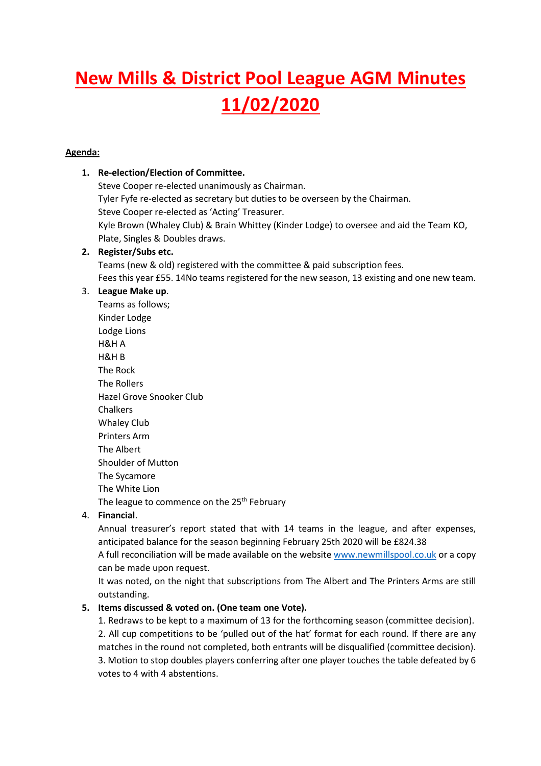# **New Mills & District Pool League AGM Minutes 11/02/2020**

# **Agenda:**

### **1. Re-election/Election of Committee.**

Steve Cooper re-elected unanimously as Chairman. Tyler Fyfe re-elected as secretary but duties to be overseen by the Chairman. Steve Cooper re-elected as 'Acting' Treasurer. Kyle Brown (Whaley Club) & Brain Whittey (Kinder Lodge) to oversee and aid the Team KO, Plate, Singles & Doubles draws.

#### **2. Register/Subs etc.**

Teams (new & old) registered with the committee & paid subscription fees. Fees this year £55. 14No teams registered for the new season, 13 existing and one new team.

# 3. **League Make up**.

Teams as follows; Kinder Lodge Lodge Lions H&H A H&H B The Rock The Rollers Hazel Grove Snooker Club Chalkers Whaley Club Printers Arm The Albert Shoulder of Mutton The Sycamore The White Lion The league to commence on the 25<sup>th</sup> February

#### 4. **Financial**.

Annual treasurer's report stated that with 14 teams in the league, and after expenses, anticipated balance for the season beginning February 25th 2020 will be £824.38

A full reconciliation will be made available on the website www.newmillspool.co.uk or a copy can be made upon request.

It was noted, on the night that subscriptions from The Albert and The Printers Arms are still outstanding.

# **5. Items discussed & voted on. (One team one Vote).**

1. Redraws to be kept to a maximum of 13 for the forthcoming season (committee decision). 2. All cup competitions to be 'pulled out of the hat' format for each round. If there are any matches in the round not completed, both entrants will be disqualified (committee decision). 3. Motion to stop doubles players conferring after one player touches the table defeated by 6 votes to 4 with 4 abstentions.